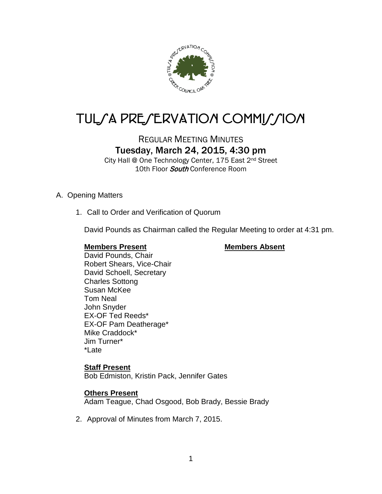

# TUL/A PRE/ERVATION COMMI*J*/ION

## REGULAR MEETING MINUTES Tuesday, March 24, 2015, 4:30 pm

City Hall @ One Technology Center, 175 East 2nd Street 10th Floor *South* Conference Room

#### A. Opening Matters

1. Call to Order and Verification of Quorum

David Pounds as Chairman called the Regular Meeting to order at 4:31 pm.

#### **Members Present Members Absent**

David Pounds, Chair Robert Shears, Vice-Chair David Schoell, Secretary Charles Sottong Susan McKee Tom Neal John Snyder EX-OF Ted Reeds\* EX-OF Pam Deatherage\* Mike Craddock\* Jim Turner\* \*Late

#### **Staff Present**

Bob Edmiston, Kristin Pack, Jennifer Gates

#### **Others Present**

Adam Teague, Chad Osgood, Bob Brady, Bessie Brady

2. Approval of Minutes from March 7, 2015.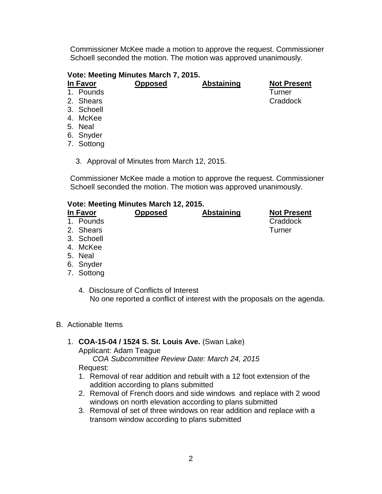Commissioner McKee made a motion to approve the request. Commissioner Schoell seconded the motion. The motion was approved unanimously.

## **Vote: Meeting Minutes March 7, 2015.**

#### **In Favor Opposed Abstaining Not Present**

- 1. Pounds Turner 2. Shears
- 3. Schoell
- 4. McKee
- 5. Neal
- 
- 6. Snyder
- 7. Sottong
	- 3. Approval of Minutes from March 12, 2015.

Commissioner McKee made a motion to approve the request. Commissioner Schoell seconded the motion. The motion was approved unanimously.

#### **Vote: Meeting Minutes March 12, 2015.**

| In Favor   | <b>Opposed</b> | <b>Abstaining</b> | <b>Not Present</b> |
|------------|----------------|-------------------|--------------------|
| 1. Pounds  |                |                   | Craddock           |
| 2. Shears  |                |                   | Turner             |
| 3. Schoell |                |                   |                    |
| 4. McKee   |                |                   |                    |
| 5. Neal    |                |                   |                    |

4. Disclosure of Conflicts of Interest No one reported a conflict of interest with the proposals on the agenda.

6. Snyder 7. Sottong

- B. Actionable Items
	- 1. **COA-15-04 / 1524 S. St. Louis Ave.** (Swan Lake)

Applicant: Adam Teague

*COA Subcommittee Review Date: March 24, 2015*

Request:

- 1. Removal of rear addition and rebuilt with a 12 foot extension of the addition according to plans submitted
- 2. Removal of French doors and side windows and replace with 2 wood windows on north elevation according to plans submitted
- 3. Removal of set of three windows on rear addition and replace with a transom window according to plans submitted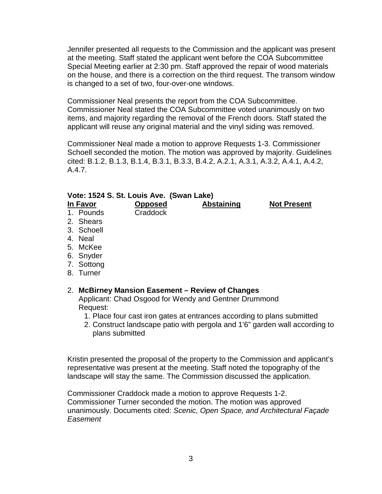Jennifer presented all requests to the Commission and the applicant was present at the meeting. Staff stated the applicant went before the COA Subcommittee Special Meeting earlier at 2:30 pm. Staff approved the repair of wood materials on the house, and there is a correction on the third request. The transom window is changed to a set of two, four-over-one windows.

Commissioner Neal presents the report from the COA Subcommittee. Commissioner Neal stated the COA Subcommittee voted unanimously on two items, and majority regarding the removal of the French doors. Staff stated the applicant will reuse any original material and the vinyl siding was removed.

Commissioner Neal made a motion to approve Requests 1-3. Commissioner Schoell seconded the motion. The motion was approved by majority. Guidelines cited: B.1.2, B.1.3, B.1.4, B.3.1, B.3.3, B.4.2, A.2.1, A.3.1, A.3.2, A.4.1, A.4.2, A.4.7.

#### **Vote: 1524 S. St. Louis Ave. (Swan Lake)**

- **In Favor Opposed Abstaining Not Present** 1. Pounds 2. Shears 3. Schoell 4. Neal 5. McKee 6. Snyder 7. Sottong
- 8. Turner

#### 2. **McBirney Mansion Easement – Review of Changes**

Applicant: Chad Osgood for Wendy and Gentner Drummond Request:

- 1. Place four cast iron gates at entrances according to plans submitted
- 2. Construct landscape patio with pergola and 1'6" garden wall according to plans submitted

Kristin presented the proposal of the property to the Commission and applicant's representative was present at the meeting. Staff noted the topography of the landscape will stay the same. The Commission discussed the application.

Commissioner Craddock made a motion to approve Requests 1-2. Commissioner Turner seconded the motion. The motion was approved unanimously. Documents cited: *Scenic, Open Space, and Architectural Façade Easement*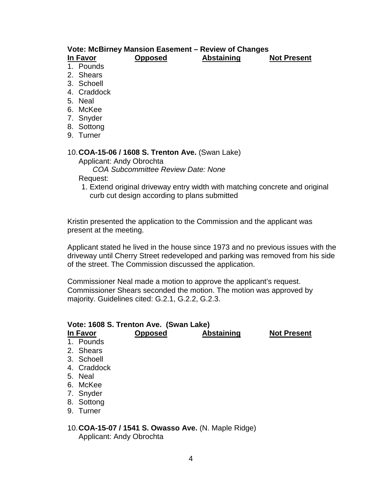#### **Vote: McBirney Mansion Easement – Review of Changes In Favor Opposed Abstaining Not Present**

1. Pounds

- 2. Shears
- 3. Schoell
- 4. Craddock
- 5. Neal
- 6. McKee
- 7. Snyder
- 8. Sottong
- 9. Turner

#### 10.**COA-15-06 / 1608 S. Trenton Ave.** (Swan Lake)

Applicant: Andy Obrochta

*COA Subcommittee Review Date: None*

Request:

1. Extend original driveway entry width with matching concrete and original curb cut design according to plans submitted

Kristin presented the application to the Commission and the applicant was present at the meeting.

Applicant stated he lived in the house since 1973 and no previous issues with the driveway until Cherry Street redeveloped and parking was removed from his side of the street. The Commission discussed the application.

Commissioner Neal made a motion to approve the applicant's request. Commissioner Shears seconded the motion. The motion was approved by majority. Guidelines cited: G.2.1, G.2.2, G.2.3.

### **Vote: 1608 S. Trenton Ave. (Swan Lake) In Favor Opposed Abstaining Not Present** 1. Pounds 2. Shears 3. Schoell 4. Craddock 5. Neal 6. McKee 7. Snyder 8. Sottong 9. Turner

10.**COA-15-07 / 1541 S. Owasso Ave.** (N. Maple Ridge) Applicant: Andy Obrochta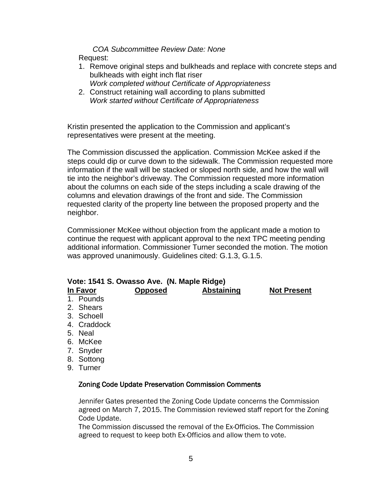*COA Subcommittee Review Date: None* Request:

- 1. Remove original steps and bulkheads and replace with concrete steps and bulkheads with eight inch flat riser *Work completed without Certificate of Appropriateness*
- 2. Construct retaining wall according to plans submitted *Work started without Certificate of Appropriateness*

Kristin presented the application to the Commission and applicant's representatives were present at the meeting.

The Commission discussed the application. Commission McKee asked if the steps could dip or curve down to the sidewalk. The Commission requested more information if the wall will be stacked or sloped north side, and how the wall will tie into the neighbor's driveway. The Commission requested more information about the columns on each side of the steps including a scale drawing of the columns and elevation drawings of the front and side. The Commission requested clarity of the property line between the proposed property and the neighbor.

Commissioner McKee without objection from the applicant made a motion to continue the request with applicant approval to the next TPC meeting pending additional information. Commissioner Turner seconded the motion. The motion was approved unanimously. Guidelines cited: G.1.3, G.1.5.

| Vote: 1541 S. Owasso Ave. (N. Maple Ridge) |             |                                                            |                   |                    |  |  |
|--------------------------------------------|-------------|------------------------------------------------------------|-------------------|--------------------|--|--|
|                                            | In Favor    | <b>Opposed</b>                                             | <b>Abstaining</b> | <b>Not Present</b> |  |  |
|                                            | 1. Pounds   |                                                            |                   |                    |  |  |
|                                            | 2. Shears   |                                                            |                   |                    |  |  |
|                                            | 3. Schoell  |                                                            |                   |                    |  |  |
|                                            | 4. Craddock |                                                            |                   |                    |  |  |
|                                            | 5. Neal     |                                                            |                   |                    |  |  |
|                                            | 6. McKee    |                                                            |                   |                    |  |  |
|                                            | 7. Snyder   |                                                            |                   |                    |  |  |
|                                            | 8. Sottong  |                                                            |                   |                    |  |  |
|                                            | 9. Turner   |                                                            |                   |                    |  |  |
|                                            |             | <b>Zoning Code Update Preservation Commission Comments</b> |                   |                    |  |  |

Jennifer Gates presented the Zoning Code Update concerns the Commission agreed on March 7, 2015. The Commission reviewed staff report for the Zoning Code Update.

The Commission discussed the removal of the Ex-Officios. The Commission agreed to request to keep both Ex-Officios and allow them to vote.